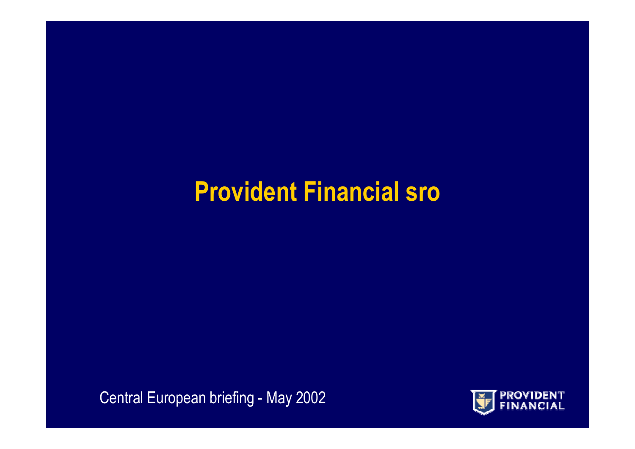### **Provident Financial sro**

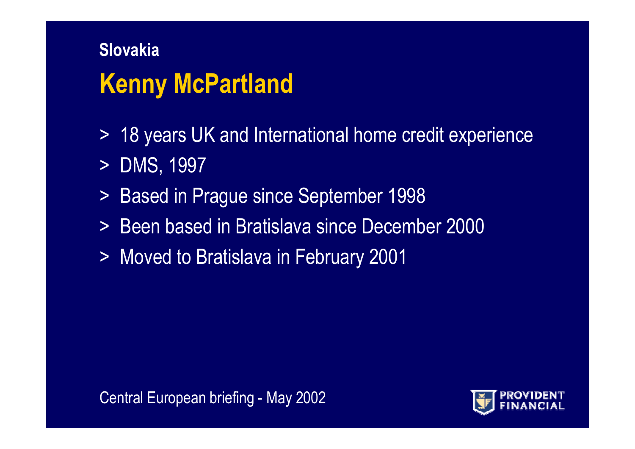# **Slovakia Kenny McPartland**

- > 1 8 years UK and International home credit experience
- > DMS, 1997
- $>$ Based in Prague since September 1998
- > Been based in Bratislava since December 2000
- > Moved to Bratislava in February 2001

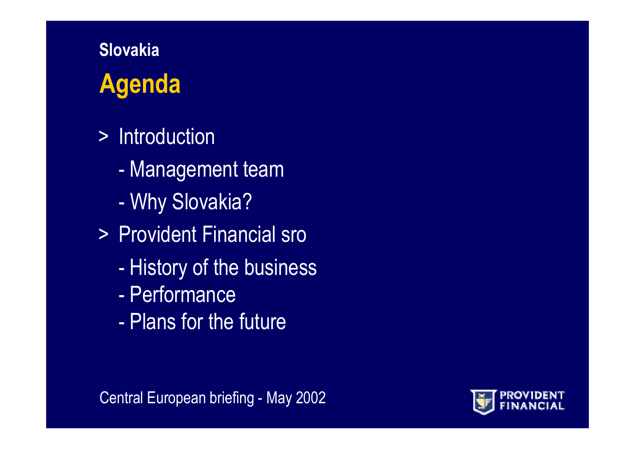# **SlovakiaAgenda**

- > Introduction
	- Management team
	- Why Slovakia?
- > Provident Financial sro
	- History of the business
	- Performance
	- -Plans for the future

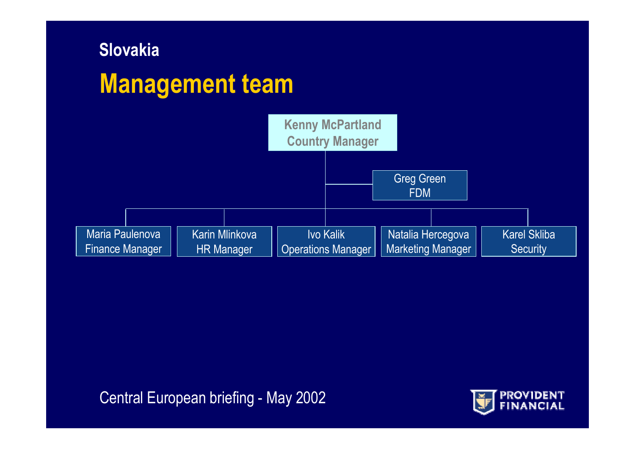# **Slovakia Management team**



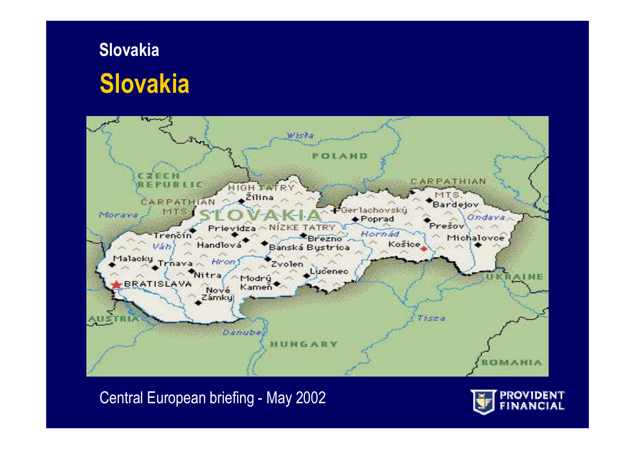### **Slovakia Slovakia**



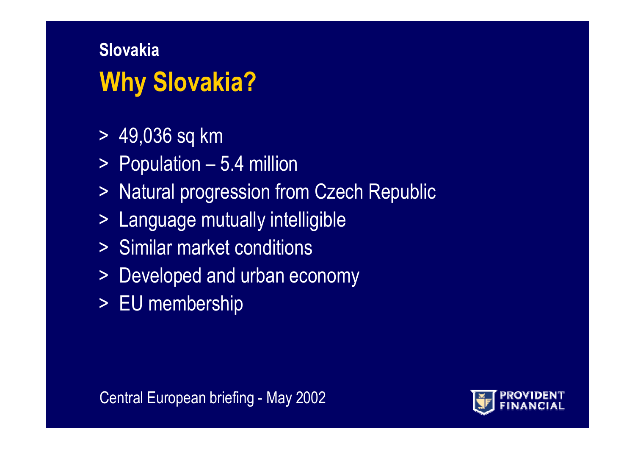# **Why Slovakia? Slovakia**

- > 49,036 sq km
- > Population 5.4 million
- > Natural progression from Czech Republic
- > Language mutually intelligible
- >Similar market conditions
- > Developed and urban economy
- > EU membership

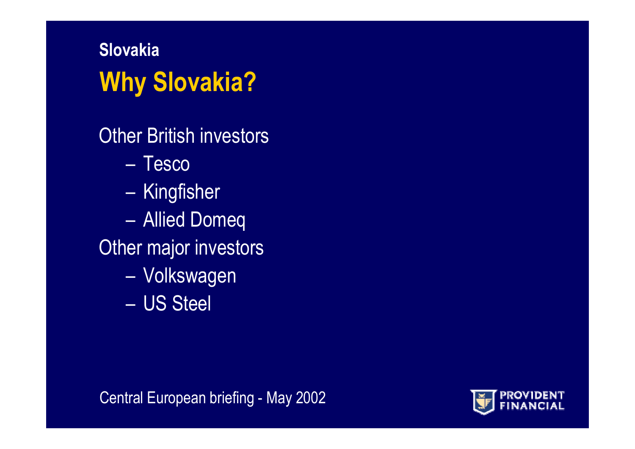# **Why Slovakia? Slovakia**

Other British investors

- –Tesco
- Kingfisher
- Allied Domeq
- Other major investors
	- Volkswagen
	- –US Steel

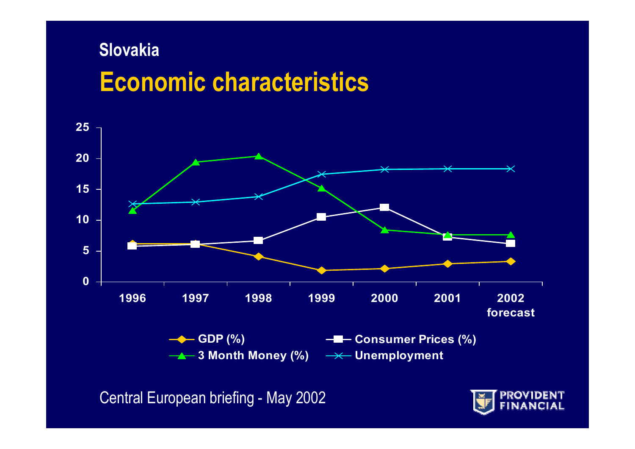### **Economic characteristics Slovakia**



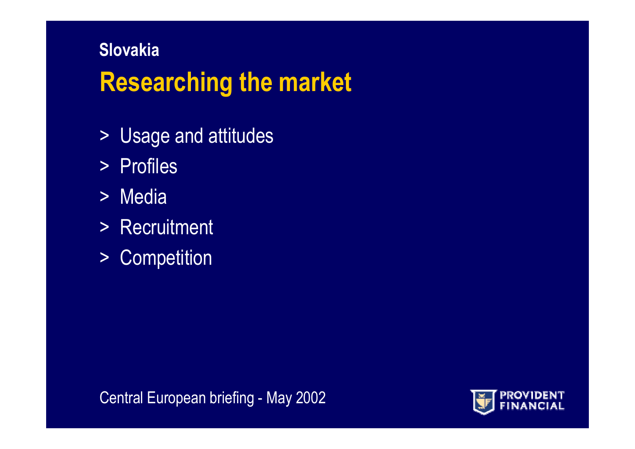### **Researching the market Slovakia**

- > Usage and attitudes
- > P r o file s
- > Media
- > Recruitment
- > Competition

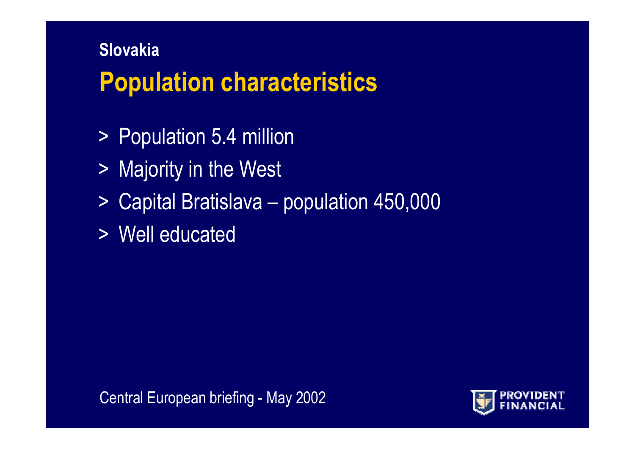### **Population characteristics Slovakia**

- > Population 5.4 million
- > Majority in the West
- > Capital Bratislava population 450,000
- >Well educated

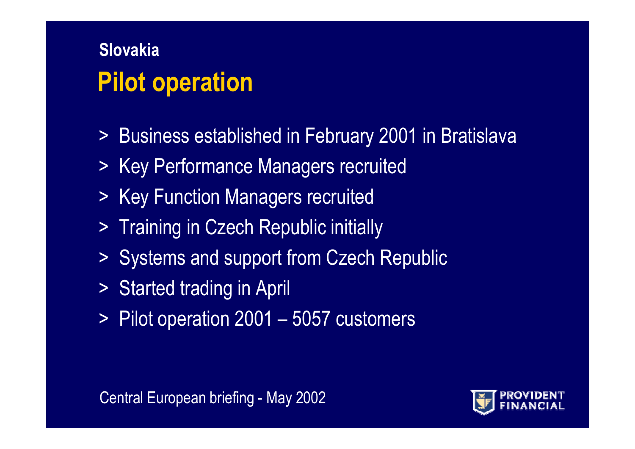### **Pilot operation Slovakia**

- > Business established in February 2001 in Bratislava
- > Key Performance Managers recruited
- > Key Function Managers recruited
- > Training in Czech Republic initially
- > Systems and support from Czech Republic
- > Started trading in April
- > Pilot operation 2001 5057 customers

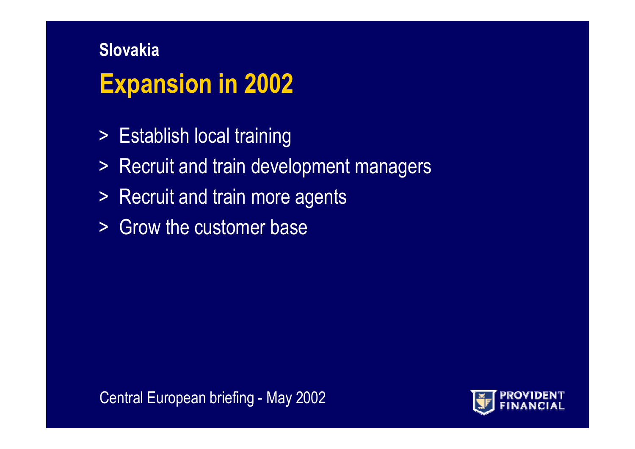# **Slovakia Expansion in 2002**

- > Establish local training
- > Recruit and train development managers
- > Recruit and train more agents
- >Grow the customer base

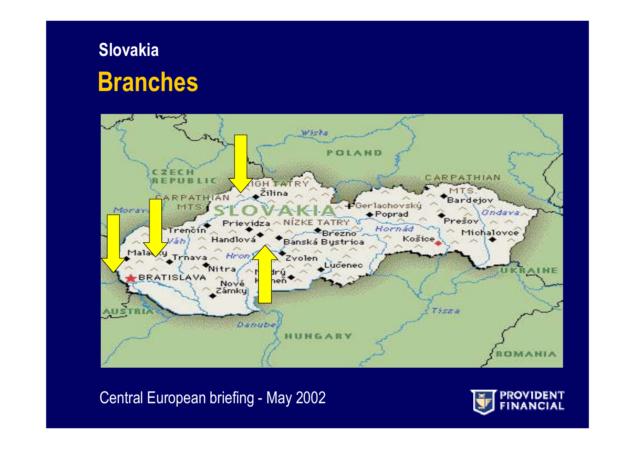### **Branches Slovakia**



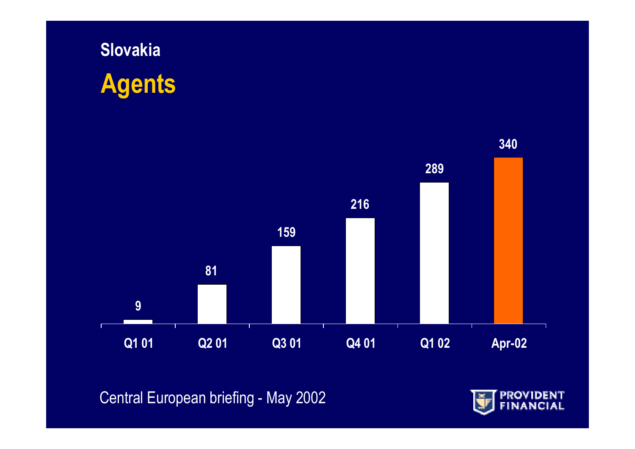



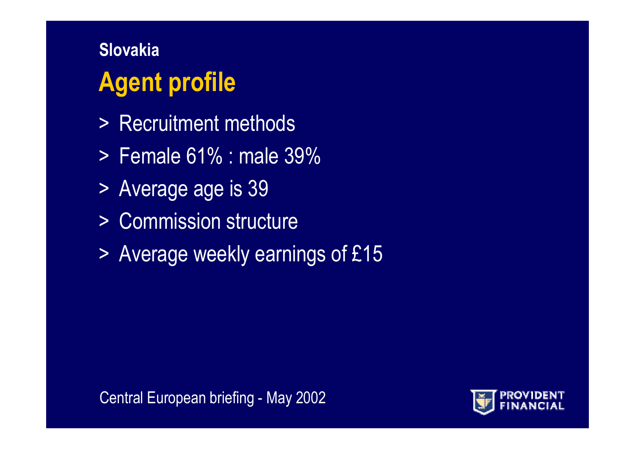# **Agent profile Slovakia**

- >Recruitment methods
- >Female 61% : male 39%
- > Average age is 39
- > Commission structure
- > Average weekly earnings of £15

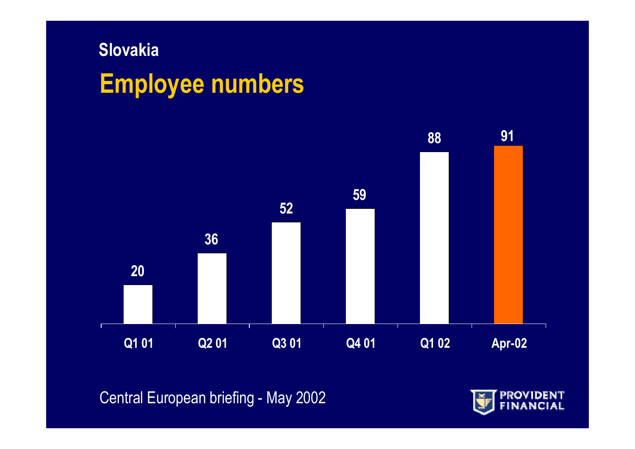# **Slovakia Employee numbers**



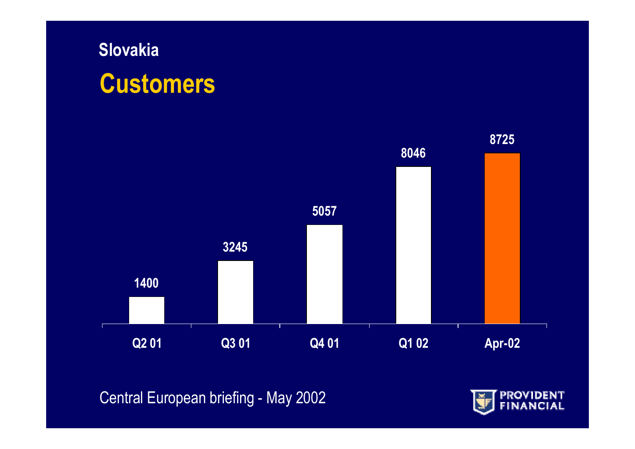### **Slovakia Customers**



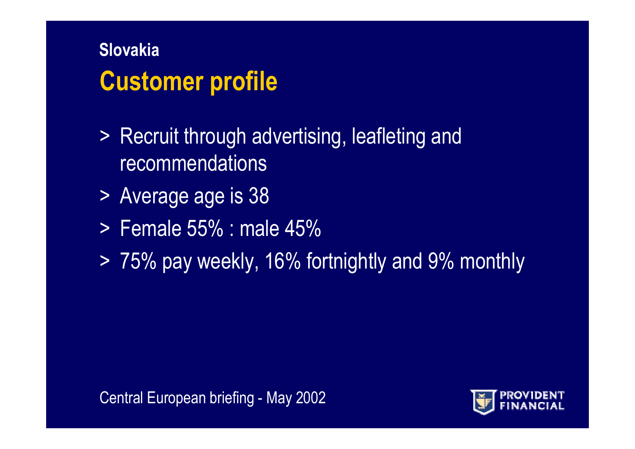### **Customer profile Slovakia**

- > Recruit through advertising, leafleting and recommendations
- > Average age is 38
- >Female 55% : male 45%
- > 75% pay weekly, 16% fortnightly and 9% monthly

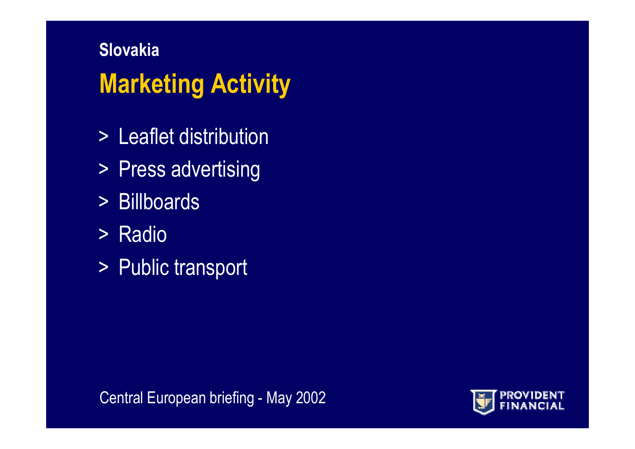# **Slovakia Marketing Activity**

- > Leaflet distribution
- > Press advertising
- >Billboards
- > Radio
- > Public transport

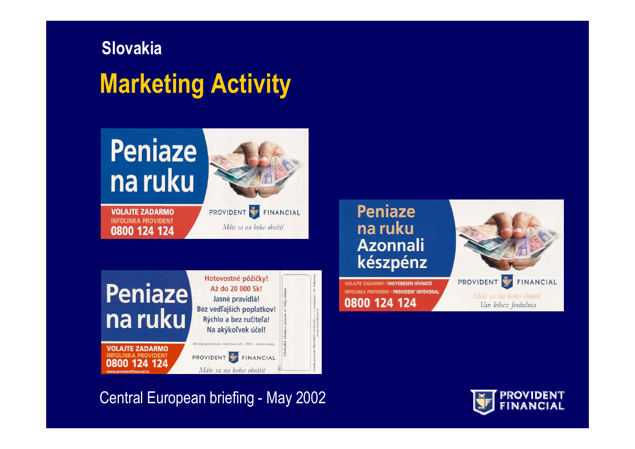# **SlovakiaMarketing Activity**

# **Peniaze** na ruku



**VOLAJTE ZADARMO INFOLINKA PROVIDENT** 0800 124 124 PROVIDENT FINANCIAL Máte sa na koho obrátiť





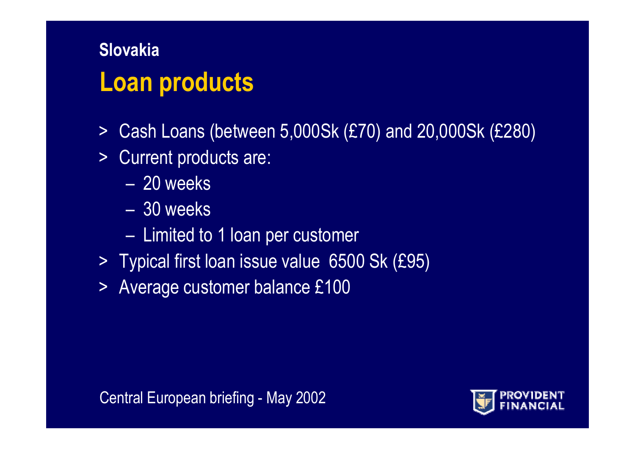### **Loan products Slovakia**

- $\geq$ Cash Loans (between 5,000Sk (£70) and 20,000Sk (£280)
- $\geq$ Current products are:
	- –20 weeks
	- –30 weeks
	- Limited to 1 loan per customer
- > Typical first loan issue value 6500 Sk (£95)
- > Average customer balance £100

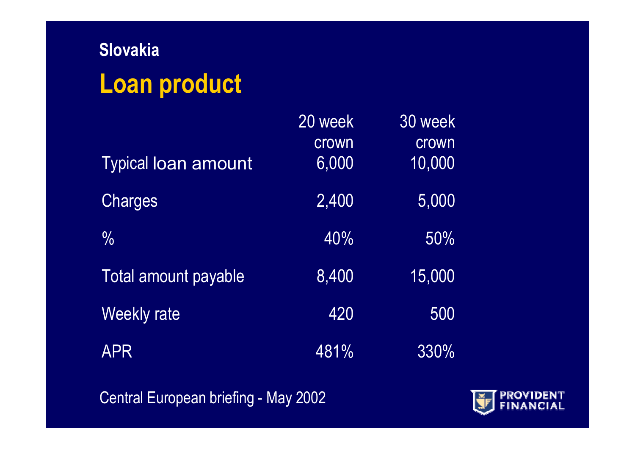# **Slovakia Loan product**

|                            | 20 week | 30 week |
|----------------------------|---------|---------|
|                            | crown   | crown   |
| <b>Typical loan amount</b> | 6,000   | 10,000  |
| Charges                    | 2,400   | 5,000   |
| $\frac{0}{0}$              | 40%     | 50%     |
| Total amount payable       | 8,400   | 15,000  |
| <b>Weekly rate</b>         | 420     | 500     |
| <b>APR</b>                 | 481%    | 330%    |

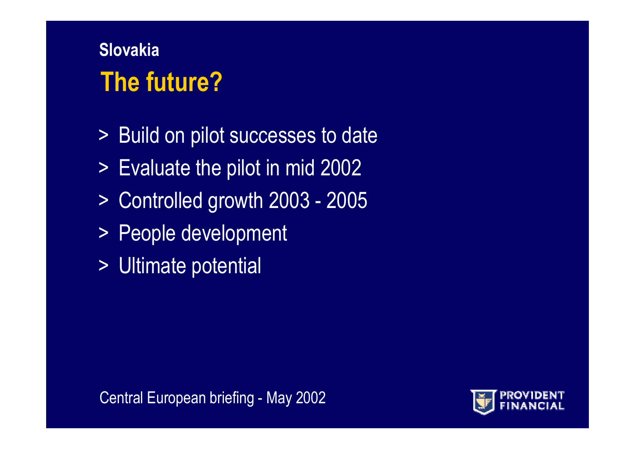### **The future?Slovakia**

- > Build on pilot successes to date
- > Evaluate the pilot in mid 2002
- > Controlled growth 2003 2005
- > People development
- > Ultimate potential